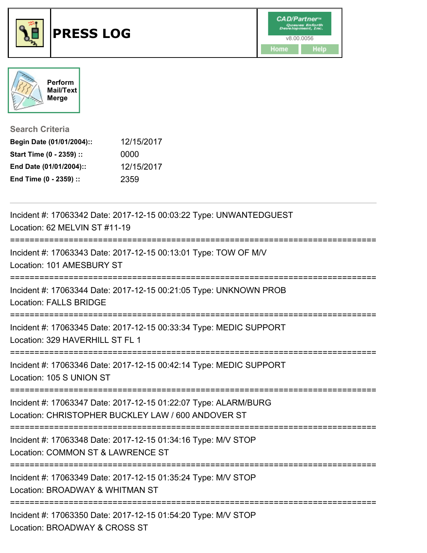



**Search Criteria**

| Begin Date (01/01/2004):: | 12/15/2017 |
|---------------------------|------------|
| Start Time (0 - 2359) ::  | 0000       |
| End Date (01/01/2004)::   | 12/15/2017 |
| End Time (0 - 2359) ::    | 2359       |

| Incident #: 17063342 Date: 2017-12-15 00:03:22 Type: UNWANTEDGUEST<br>Location: 62 MELVIN ST #11-19                                            |
|------------------------------------------------------------------------------------------------------------------------------------------------|
| Incident #: 17063343 Date: 2017-12-15 00:13:01 Type: TOW OF M/V<br>Location: 101 AMESBURY ST                                                   |
| Incident #: 17063344 Date: 2017-12-15 00:21:05 Type: UNKNOWN PROB<br><b>Location: FALLS BRIDGE</b>                                             |
| Incident #: 17063345 Date: 2017-12-15 00:33:34 Type: MEDIC SUPPORT<br>Location: 329 HAVERHILL ST FL 1                                          |
| Incident #: 17063346 Date: 2017-12-15 00:42:14 Type: MEDIC SUPPORT<br>Location: 105 S UNION ST                                                 |
| Incident #: 17063347 Date: 2017-12-15 01:22:07 Type: ALARM/BURG<br>Location: CHRISTOPHER BUCKLEY LAW / 600 ANDOVER ST                          |
| Incident #: 17063348 Date: 2017-12-15 01:34:16 Type: M/V STOP<br>Location: COMMON ST & LAWRENCE ST<br>:========================<br>----------- |
| Incident #: 17063349 Date: 2017-12-15 01:35:24 Type: M/V STOP<br>Location: BROADWAY & WHITMAN ST<br>--------------------------------           |
| Incident #: 17063350 Date: 2017-12-15 01:54:20 Type: M/V STOP<br>Location: BROADWAY & CROSS ST                                                 |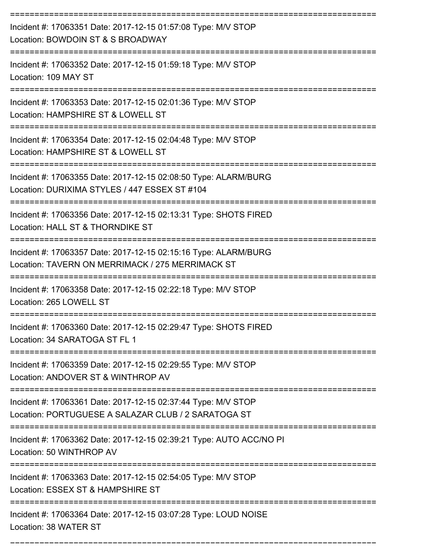| Incident #: 17063351 Date: 2017-12-15 01:57:08 Type: M/V STOP<br>Location: BOWDOIN ST & S BROADWAY                   |
|----------------------------------------------------------------------------------------------------------------------|
| Incident #: 17063352 Date: 2017-12-15 01:59:18 Type: M/V STOP<br>Location: 109 MAY ST                                |
| Incident #: 17063353 Date: 2017-12-15 02:01:36 Type: M/V STOP<br>Location: HAMPSHIRE ST & LOWELL ST                  |
| Incident #: 17063354 Date: 2017-12-15 02:04:48 Type: M/V STOP<br>Location: HAMPSHIRE ST & LOWELL ST                  |
| Incident #: 17063355 Date: 2017-12-15 02:08:50 Type: ALARM/BURG<br>Location: DURIXIMA STYLES / 447 ESSEX ST #104     |
| Incident #: 17063356 Date: 2017-12-15 02:13:31 Type: SHOTS FIRED<br>Location: HALL ST & THORNDIKE ST                 |
| Incident #: 17063357 Date: 2017-12-15 02:15:16 Type: ALARM/BURG<br>Location: TAVERN ON MERRIMACK / 275 MERRIMACK ST  |
| Incident #: 17063358 Date: 2017-12-15 02:22:18 Type: M/V STOP<br>Location: 265 LOWELL ST                             |
| Incident #: 17063360 Date: 2017-12-15 02:29:47 Type: SHOTS FIRED<br>Location: 34 SARATOGA ST FL 1                    |
| Incident #: 17063359 Date: 2017-12-15 02:29:55 Type: M/V STOP<br>Location: ANDOVER ST & WINTHROP AV                  |
| Incident #: 17063361 Date: 2017-12-15 02:37:44 Type: M/V STOP<br>Location: PORTUGUESE A SALAZAR CLUB / 2 SARATOGA ST |
| Incident #: 17063362 Date: 2017-12-15 02:39:21 Type: AUTO ACC/NO PI<br>Location: 50 WINTHROP AV                      |
| Incident #: 17063363 Date: 2017-12-15 02:54:05 Type: M/V STOP<br>Location: ESSEX ST & HAMPSHIRE ST                   |
| Incident #: 17063364 Date: 2017-12-15 03:07:28 Type: LOUD NOISE<br>Location: 38 WATER ST                             |

===========================================================================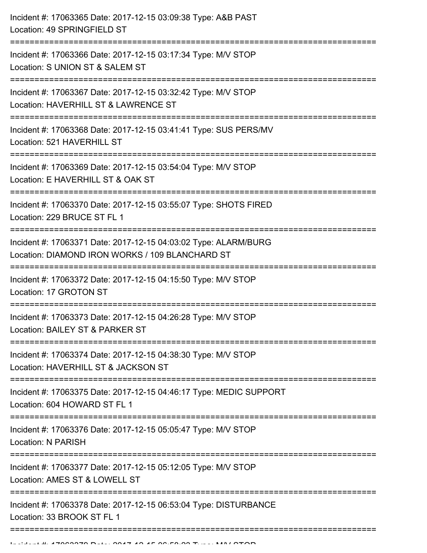| Incident #: 17063365 Date: 2017-12-15 03:09:38 Type: A&B PAST<br>Location: 49 SPRINGFIELD ST                                                    |
|-------------------------------------------------------------------------------------------------------------------------------------------------|
| Incident #: 17063366 Date: 2017-12-15 03:17:34 Type: M/V STOP<br>Location: S UNION ST & SALEM ST                                                |
| Incident #: 17063367 Date: 2017-12-15 03:32:42 Type: M/V STOP<br>Location: HAVERHILL ST & LAWRENCE ST                                           |
| Incident #: 17063368 Date: 2017-12-15 03:41:41 Type: SUS PERS/MV<br>Location: 521 HAVERHILL ST                                                  |
| Incident #: 17063369 Date: 2017-12-15 03:54:04 Type: M/V STOP<br>Location: E HAVERHILL ST & OAK ST<br>---------------------<br>---------------- |
| Incident #: 17063370 Date: 2017-12-15 03:55:07 Type: SHOTS FIRED<br>Location: 229 BRUCE ST FL 1                                                 |
| Incident #: 17063371 Date: 2017-12-15 04:03:02 Type: ALARM/BURG<br>Location: DIAMOND IRON WORKS / 109 BLANCHARD ST                              |
| Incident #: 17063372 Date: 2017-12-15 04:15:50 Type: M/V STOP<br>Location: 17 GROTON ST                                                         |
| Incident #: 17063373 Date: 2017-12-15 04:26:28 Type: M/V STOP<br>Location: BAILEY ST & PARKER ST                                                |
| Incident #: 17063374 Date: 2017-12-15 04:38:30 Type: M/V STOP<br>Location: HAVERHILL ST & JACKSON ST                                            |
| Incident #: 17063375 Date: 2017-12-15 04:46:17 Type: MEDIC SUPPORT<br>Location: 604 HOWARD ST FL 1                                              |
| Incident #: 17063376 Date: 2017-12-15 05:05:47 Type: M/V STOP<br><b>Location: N PARISH</b>                                                      |
| Incident #: 17063377 Date: 2017-12-15 05:12:05 Type: M/V STOP<br>Location: AMES ST & LOWELL ST                                                  |
| Incident #: 17063378 Date: 2017-12-15 06:53:04 Type: DISTURBANCE<br>Location: 33 BROOK ST FL 1                                                  |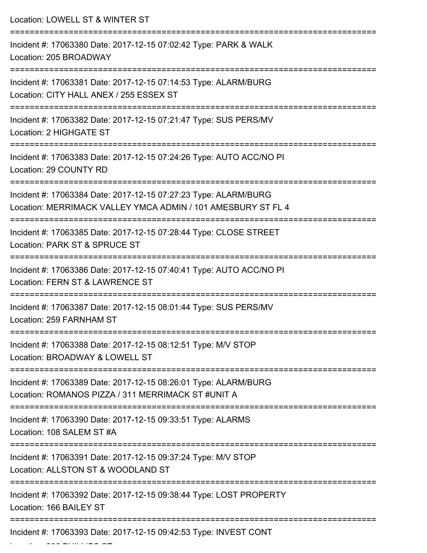| Location: LOWELL ST & WINTER ST                                                                                                      |
|--------------------------------------------------------------------------------------------------------------------------------------|
| Incident #: 17063380 Date: 2017-12-15 07:02:42 Type: PARK & WALK<br>Location: 205 BROADWAY                                           |
| Incident #: 17063381 Date: 2017-12-15 07:14:53 Type: ALARM/BURG<br>Location: CITY HALL ANEX / 255 ESSEX ST<br>====================== |
| Incident #: 17063382 Date: 2017-12-15 07:21:47 Type: SUS PERS/MV<br>Location: 2 HIGHGATE ST                                          |
| Incident #: 17063383 Date: 2017-12-15 07:24:26 Type: AUTO ACC/NO PI<br>Location: 29 COUNTY RD                                        |
| Incident #: 17063384 Date: 2017-12-15 07:27:23 Type: ALARM/BURG<br>Location: MERRIMACK VALLEY YMCA ADMIN / 101 AMESBURY ST FL 4      |
| Incident #: 17063385 Date: 2017-12-15 07:28:44 Type: CLOSE STREET<br>Location: PARK ST & SPRUCE ST                                   |
| Incident #: 17063386 Date: 2017-12-15 07:40:41 Type: AUTO ACC/NO PI<br>Location: FERN ST & LAWRENCE ST<br>----------                 |
| Incident #: 17063387 Date: 2017-12-15 08:01:44 Type: SUS PERS/MV<br>Location: 259 FARNHAM ST                                         |
| Incident #: 17063388 Date: 2017-12-15 08:12:51 Type: M/V STOP<br>Location: BROADWAY & LOWELL ST                                      |
| Incident #: 17063389 Date: 2017-12-15 08:26:01 Type: ALARM/BURG<br>Location: ROMANOS PIZZA / 311 MERRIMACK ST #UNIT A                |
| Incident #: 17063390 Date: 2017-12-15 09:33:51 Type: ALARMS<br>Location: 108 SALEM ST #A                                             |
| Incident #: 17063391 Date: 2017-12-15 09:37:24 Type: M/V STOP<br>Location: ALLSTON ST & WOODLAND ST                                  |
| Incident #: 17063392 Date: 2017-12-15 09:38:44 Type: LOST PROPERTY<br>Location: 166 BAILEY ST                                        |
| Incident #: 17063393 Date: 2017-12-15 09:42:53 Type: INVEST CONT                                                                     |

Location: 206 PHILLIPS ST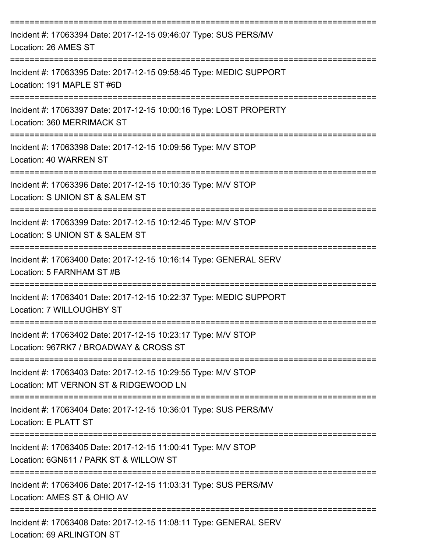| Incident #: 17063394 Date: 2017-12-15 09:46:07 Type: SUS PERS/MV<br>Location: 26 AMES ST                                                     |
|----------------------------------------------------------------------------------------------------------------------------------------------|
| Incident #: 17063395 Date: 2017-12-15 09:58:45 Type: MEDIC SUPPORT<br>Location: 191 MAPLE ST #6D                                             |
| Incident #: 17063397 Date: 2017-12-15 10:00:16 Type: LOST PROPERTY<br>Location: 360 MERRIMACK ST                                             |
| Incident #: 17063398 Date: 2017-12-15 10:09:56 Type: M/V STOP<br>Location: 40 WARREN ST                                                      |
| Incident #: 17063396 Date: 2017-12-15 10:10:35 Type: M/V STOP<br>Location: S UNION ST & SALEM ST                                             |
| Incident #: 17063399 Date: 2017-12-15 10:12:45 Type: M/V STOP<br>Location: S UNION ST & SALEM ST                                             |
| Incident #: 17063400 Date: 2017-12-15 10:16:14 Type: GENERAL SERV<br>Location: 5 FARNHAM ST #B                                               |
| Incident #: 17063401 Date: 2017-12-15 10:22:37 Type: MEDIC SUPPORT<br>Location: 7 WILLOUGHBY ST                                              |
| Incident #: 17063402 Date: 2017-12-15 10:23:17 Type: M/V STOP<br>Location: 967RK7 / BROADWAY & CROSS ST<br>--------------------------------- |
| Incident #: 17063403 Date: 2017-12-15 10:29:55 Type: M/V STOP<br>Location: MT VERNON ST & RIDGEWOOD LN                                       |
| Incident #: 17063404 Date: 2017-12-15 10:36:01 Type: SUS PERS/MV<br>Location: E PLATT ST                                                     |
| Incident #: 17063405 Date: 2017-12-15 11:00:41 Type: M/V STOP<br>Location: 6GN611 / PARK ST & WILLOW ST                                      |
| Incident #: 17063406 Date: 2017-12-15 11:03:31 Type: SUS PERS/MV<br>Location: AMES ST & OHIO AV                                              |
| Incident #: 17063408 Date: 2017-12-15 11:08:11 Type: GENERAL SERV<br>Location: 69 ARLINGTON ST                                               |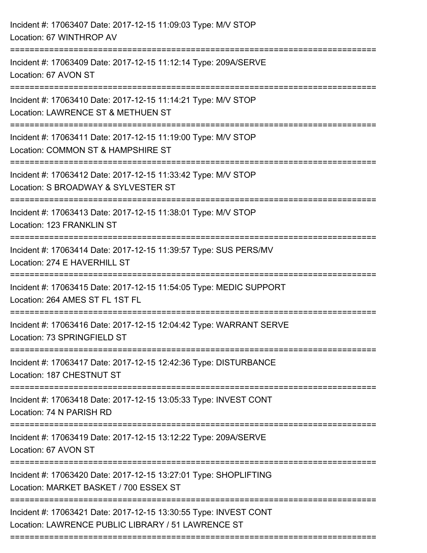| Incident #: 17063407 Date: 2017-12-15 11:09:03 Type: M/V STOP<br>Location: 67 WINTHROP AV                                     |
|-------------------------------------------------------------------------------------------------------------------------------|
| Incident #: 17063409 Date: 2017-12-15 11:12:14 Type: 209A/SERVE<br>Location: 67 AVON ST                                       |
| Incident #: 17063410 Date: 2017-12-15 11:14:21 Type: M/V STOP<br>Location: LAWRENCE ST & METHUEN ST<br>;===================== |
| Incident #: 17063411 Date: 2017-12-15 11:19:00 Type: M/V STOP<br>Location: COMMON ST & HAMPSHIRE ST                           |
| Incident #: 17063412 Date: 2017-12-15 11:33:42 Type: M/V STOP<br>Location: S BROADWAY & SYLVESTER ST                          |
| Incident #: 17063413 Date: 2017-12-15 11:38:01 Type: M/V STOP<br>Location: 123 FRANKLIN ST                                    |
| Incident #: 17063414 Date: 2017-12-15 11:39:57 Type: SUS PERS/MV<br>Location: 274 E HAVERHILL ST                              |
| Incident #: 17063415 Date: 2017-12-15 11:54:05 Type: MEDIC SUPPORT<br>Location: 264 AMES ST FL 1ST FL                         |
| Incident #: 17063416 Date: 2017-12-15 12:04:42 Type: WARRANT SERVE<br>Location: 73 SPRINGFIELD ST                             |
| Incident #: 17063417 Date: 2017-12-15 12:42:36 Type: DISTURBANCE<br>Location: 187 CHESTNUT ST                                 |
| Incident #: 17063418 Date: 2017-12-15 13:05:33 Type: INVEST CONT<br>Location: 74 N PARISH RD                                  |
| Incident #: 17063419 Date: 2017-12-15 13:12:22 Type: 209A/SERVE<br>Location: 67 AVON ST                                       |
| Incident #: 17063420 Date: 2017-12-15 13:27:01 Type: SHOPLIFTING<br>Location: MARKET BASKET / 700 ESSEX ST                    |
| Incident #: 17063421 Date: 2017-12-15 13:30:55 Type: INVEST CONT<br>Location: LAWRENCE PUBLIC LIBRARY / 51 LAWRENCE ST        |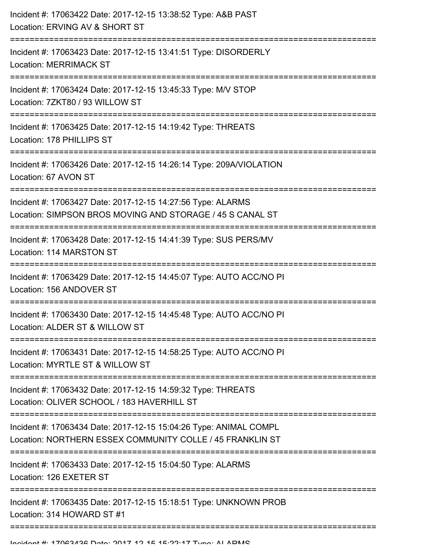| Incident #: 17063422 Date: 2017-12-15 13:38:52 Type: A&B PAST<br>Location: ERVING AV & SHORT ST                                     |
|-------------------------------------------------------------------------------------------------------------------------------------|
| -------------------------------<br>Incident #: 17063423 Date: 2017-12-15 13:41:51 Type: DISORDERLY<br><b>Location: MERRIMACK ST</b> |
| Incident #: 17063424 Date: 2017-12-15 13:45:33 Type: M/V STOP<br>Location: 7ZKT80 / 93 WILLOW ST<br>;===================            |
| Incident #: 17063425 Date: 2017-12-15 14:19:42 Type: THREATS<br>Location: 178 PHILLIPS ST                                           |
| Incident #: 17063426 Date: 2017-12-15 14:26:14 Type: 209A/VIOLATION<br>Location: 67 AVON ST                                         |
| Incident #: 17063427 Date: 2017-12-15 14:27:56 Type: ALARMS<br>Location: SIMPSON BROS MOVING AND STORAGE / 45 S CANAL ST            |
| Incident #: 17063428 Date: 2017-12-15 14:41:39 Type: SUS PERS/MV<br>Location: 114 MARSTON ST                                        |
| Incident #: 17063429 Date: 2017-12-15 14:45:07 Type: AUTO ACC/NO PI<br>Location: 156 ANDOVER ST                                     |
| Incident #: 17063430 Date: 2017-12-15 14:45:48 Type: AUTO ACC/NO PI<br>Location: ALDER ST & WILLOW ST                               |
| Incident #: 17063431 Date: 2017-12-15 14:58:25 Type: AUTO ACC/NO PI<br>Location: MYRTLE ST & WILLOW ST                              |
| Incident #: 17063432 Date: 2017-12-15 14:59:32 Type: THREATS<br>Location: OLIVER SCHOOL / 183 HAVERHILL ST                          |
| Incident #: 17063434 Date: 2017-12-15 15:04:26 Type: ANIMAL COMPL<br>Location: NORTHERN ESSEX COMMUNITY COLLE / 45 FRANKLIN ST      |
| Incident #: 17063433 Date: 2017-12-15 15:04:50 Type: ALARMS<br>Location: 126 EXETER ST                                              |
| Incident #: 17063435 Date: 2017-12-15 15:18:51 Type: UNKNOWN PROB<br>Location: 314 HOWARD ST #1                                     |
|                                                                                                                                     |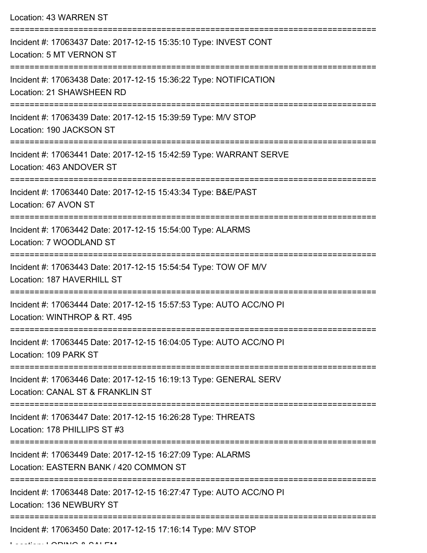Location: 43 WARREN ST =========================================================================== Incident #: 17063437 Date: 2017-12-15 15:35:10 Type: INVEST CONT Location: 5 MT VERNON ST =========================================================================== Incident #: 17063438 Date: 2017-12-15 15:36:22 Type: NOTIFICATION Location: 21 SHAWSHEEN RD =========================================================================== Incident #: 17063439 Date: 2017-12-15 15:39:59 Type: M/V STOP Location: 190 JACKSON ST =========================================================================== Incident #: 17063441 Date: 2017-12-15 15:42:59 Type: WARRANT SERVE Location: 463 ANDOVER ST =========================================================================== Incident #: 17063440 Date: 2017-12-15 15:43:34 Type: B&E/PAST Location: 67 AVON ST =========================================================================== Incident #: 17063442 Date: 2017-12-15 15:54:00 Type: ALARMS Location: 7 WOODLAND ST =========================================================================== Incident #: 17063443 Date: 2017-12-15 15:54:54 Type: TOW OF M/V Location: 187 HAVERHILL ST =========================================================================== Incident #: 17063444 Date: 2017-12-15 15:57:53 Type: AUTO ACC/NO PI Location: WINTHROP & RT. 495 =========================================================================== Incident #: 17063445 Date: 2017-12-15 16:04:05 Type: AUTO ACC/NO PI Location: 109 PARK ST =========================================================================== Incident #: 17063446 Date: 2017-12-15 16:19:13 Type: GENERAL SERV Location: CANAL ST & FRANKLIN ST =========================================================================== Incident #: 17063447 Date: 2017-12-15 16:26:28 Type: THREATS Location: 178 PHILLIPS ST #3 =========================================================================== Incident #: 17063449 Date: 2017-12-15 16:27:09 Type: ALARMS Location: EASTERN BANK / 420 COMMON ST =========================================================================== Incident #: 17063448 Date: 2017-12-15 16:27:47 Type: AUTO ACC/NO PI Location: 136 NEWBURY ST =========================================================================== Incident #: 17063450 Date: 2017-12-15 17:16:14 Type: M/V STOP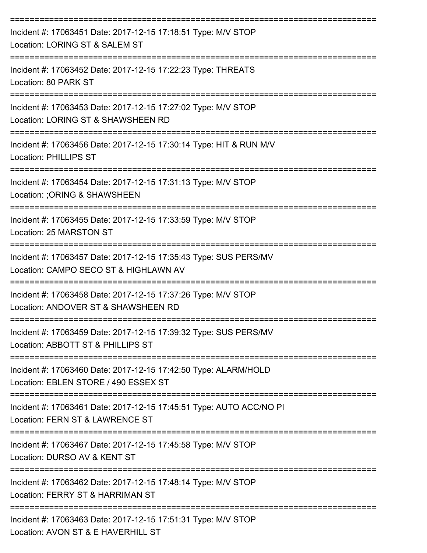| Incident #: 17063451 Date: 2017-12-15 17:18:51 Type: M/V STOP<br>Location: LORING ST & SALEM ST                                                                    |
|--------------------------------------------------------------------------------------------------------------------------------------------------------------------|
| Incident #: 17063452 Date: 2017-12-15 17:22:23 Type: THREATS<br>Location: 80 PARK ST                                                                               |
| Incident #: 17063453 Date: 2017-12-15 17:27:02 Type: M/V STOP<br>Location: LORING ST & SHAWSHEEN RD                                                                |
| Incident #: 17063456 Date: 2017-12-15 17:30:14 Type: HIT & RUN M/V<br><b>Location: PHILLIPS ST</b>                                                                 |
| Incident #: 17063454 Date: 2017-12-15 17:31:13 Type: M/V STOP<br>Location: ; ORING & SHAWSHEEN                                                                     |
| Incident #: 17063455 Date: 2017-12-15 17:33:59 Type: M/V STOP<br>Location: 25 MARSTON ST                                                                           |
| Incident #: 17063457 Date: 2017-12-15 17:35:43 Type: SUS PERS/MV<br>Location: CAMPO SECO ST & HIGHLAWN AV                                                          |
| Incident #: 17063458 Date: 2017-12-15 17:37:26 Type: M/V STOP<br>Location: ANDOVER ST & SHAWSHEEN RD                                                               |
| Incident #: 17063459 Date: 2017-12-15 17:39:32 Type: SUS PERS/MV<br>Location: ABBOTT ST & PHILLIPS ST                                                              |
| Incident #: 17063460 Date: 2017-12-15 17:42:50 Type: ALARM/HOLD<br>Location: EBLEN STORE / 490 ESSEX ST                                                            |
| Incident #: 17063461 Date: 2017-12-15 17:45:51 Type: AUTO ACC/NO PI<br>Location: FERN ST & LAWRENCE ST                                                             |
| ----------------------------------<br>---------------------------<br>Incident #: 17063467 Date: 2017-12-15 17:45:58 Type: M/V STOP<br>Location: DURSO AV & KENT ST |
| Incident #: 17063462 Date: 2017-12-15 17:48:14 Type: M/V STOP<br>Location: FERRY ST & HARRIMAN ST                                                                  |
| Incident #: 17063463 Date: 2017-12-15 17:51:31 Type: M/V STOP<br>Location: AVON ST & E HAVERHILL ST                                                                |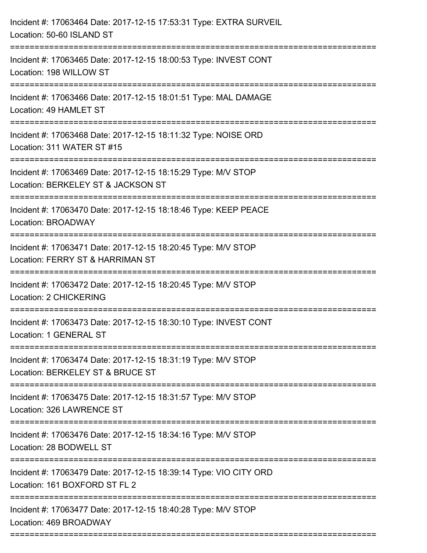| Incident #: 17063464 Date: 2017-12-15 17:53:31 Type: EXTRA SURVEIL<br>Location: 50-60 ISLAND ST     |
|-----------------------------------------------------------------------------------------------------|
| Incident #: 17063465 Date: 2017-12-15 18:00:53 Type: INVEST CONT<br>Location: 198 WILLOW ST         |
| Incident #: 17063466 Date: 2017-12-15 18:01:51 Type: MAL DAMAGE<br>Location: 49 HAMLET ST           |
| Incident #: 17063468 Date: 2017-12-15 18:11:32 Type: NOISE ORD<br>Location: 311 WATER ST #15        |
| Incident #: 17063469 Date: 2017-12-15 18:15:29 Type: M/V STOP<br>Location: BERKELEY ST & JACKSON ST |
| Incident #: 17063470 Date: 2017-12-15 18:18:46 Type: KEEP PEACE<br>Location: BROADWAY               |
| Incident #: 17063471 Date: 2017-12-15 18:20:45 Type: M/V STOP<br>Location: FERRY ST & HARRIMAN ST   |
| Incident #: 17063472 Date: 2017-12-15 18:20:45 Type: M/V STOP<br>Location: 2 CHICKERING             |
| Incident #: 17063473 Date: 2017-12-15 18:30:10 Type: INVEST CONT<br>Location: 1 GENERAL ST          |
| Incident #: 17063474 Date: 2017-12-15 18:31:19 Type: M/V STOP<br>Location: BERKELEY ST & BRUCE ST   |
| Incident #: 17063475 Date: 2017-12-15 18:31:57 Type: M/V STOP<br>Location: 326 LAWRENCE ST          |
| Incident #: 17063476 Date: 2017-12-15 18:34:16 Type: M/V STOP<br>Location: 28 BODWELL ST            |
| Incident #: 17063479 Date: 2017-12-15 18:39:14 Type: VIO CITY ORD<br>Location: 161 BOXFORD ST FL 2  |
| Incident #: 17063477 Date: 2017-12-15 18:40:28 Type: M/V STOP<br>Location: 469 BROADWAY             |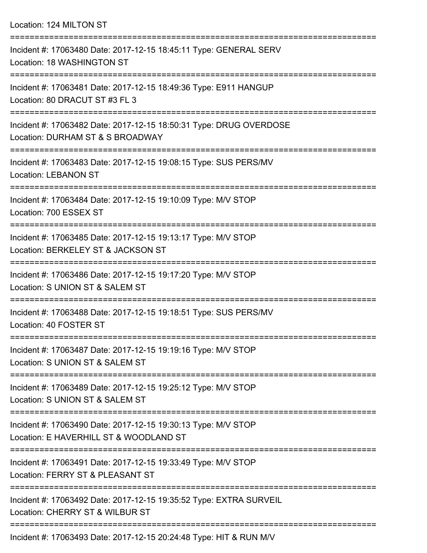Location: 124 MILTON ST =========================================================================== Incident #: 17063480 Date: 2017-12-15 18:45:11 Type: GENERAL SERV Location: 18 WASHINGTON ST =========================================================================== Incident #: 17063481 Date: 2017-12-15 18:49:36 Type: E911 HANGUP Location: 80 DRACUT ST #3 FL 3 =========================================================================== Incident #: 17063482 Date: 2017-12-15 18:50:31 Type: DRUG OVERDOSE Location: DURHAM ST & S BROADWAY =========================================================================== Incident #: 17063483 Date: 2017-12-15 19:08:15 Type: SUS PERS/MV Location: LEBANON ST =========================================================================== Incident #: 17063484 Date: 2017-12-15 19:10:09 Type: M/V STOP Location: 700 ESSEX ST =========================================================================== Incident #: 17063485 Date: 2017-12-15 19:13:17 Type: M/V STOP Location: BERKELEY ST & JACKSON ST =========================================================================== Incident #: 17063486 Date: 2017-12-15 19:17:20 Type: M/V STOP Location: S UNION ST & SALEM ST =========================================================================== Incident #: 17063488 Date: 2017-12-15 19:18:51 Type: SUS PERS/MV Location: 40 FOSTER ST =========================================================================== Incident #: 17063487 Date: 2017-12-15 19:19:16 Type: M/V STOP Location: S UNION ST & SALEM ST =========================================================================== Incident #: 17063489 Date: 2017-12-15 19:25:12 Type: M/V STOP Location: S UNION ST & SALEM ST =========================================================================== Incident #: 17063490 Date: 2017-12-15 19:30:13 Type: M/V STOP Location: E HAVERHILL ST & WOODLAND ST =========================================================================== Incident #: 17063491 Date: 2017-12-15 19:33:49 Type: M/V STOP Location: FERRY ST & PLEASANT ST =========================================================================== Incident #: 17063492 Date: 2017-12-15 19:35:52 Type: EXTRA SURVEIL Location: CHERRY ST & WILBUR ST ===========================================================================

Incident #: 17063493 Date: 2017-12-15 20:24:48 Type: HIT & RUN M/V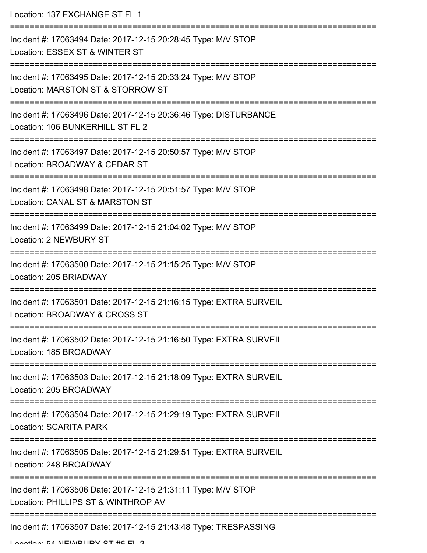| Location: 137 EXCHANGE ST FL 1                                                                                             |
|----------------------------------------------------------------------------------------------------------------------------|
| Incident #: 17063494 Date: 2017-12-15 20:28:45 Type: M/V STOP<br>Location: ESSEX ST & WINTER ST                            |
| Incident #: 17063495 Date: 2017-12-15 20:33:24 Type: M/V STOP<br>Location: MARSTON ST & STORROW ST                         |
| ------------------<br>Incident #: 17063496 Date: 2017-12-15 20:36:46 Type: DISTURBANCE<br>Location: 106 BUNKERHILL ST FL 2 |
| Incident #: 17063497 Date: 2017-12-15 20:50:57 Type: M/V STOP<br>Location: BROADWAY & CEDAR ST                             |
| Incident #: 17063498 Date: 2017-12-15 20:51:57 Type: M/V STOP<br>Location: CANAL ST & MARSTON ST                           |
| Incident #: 17063499 Date: 2017-12-15 21:04:02 Type: M/V STOP<br>Location: 2 NEWBURY ST                                    |
| ------------<br>Incident #: 17063500 Date: 2017-12-15 21:15:25 Type: M/V STOP<br>Location: 205 BRIADWAY                    |
| Incident #: 17063501 Date: 2017-12-15 21:16:15 Type: EXTRA SURVEIL<br>Location: BROADWAY & CROSS ST                        |
| Incident #: 17063502 Date: 2017-12-15 21:16:50 Type: EXTRA SURVEIL<br>Location: 185 BROADWAY                               |
| Incident #: 17063503 Date: 2017-12-15 21:18:09 Type: EXTRA SURVEIL<br>Location: 205 BROADWAY                               |
| Incident #: 17063504 Date: 2017-12-15 21:29:19 Type: EXTRA SURVEIL<br><b>Location: SCARITA PARK</b>                        |
| Incident #: 17063505 Date: 2017-12-15 21:29:51 Type: EXTRA SURVEIL<br>Location: 248 BROADWAY                               |
| Incident #: 17063506 Date: 2017-12-15 21:31:11 Type: M/V STOP<br>Location: PHILLIPS ST & WINTHROP AV                       |
| Incident #: 17063507 Date: 2017-12-15 21:43:48 Type: TRESPASSING                                                           |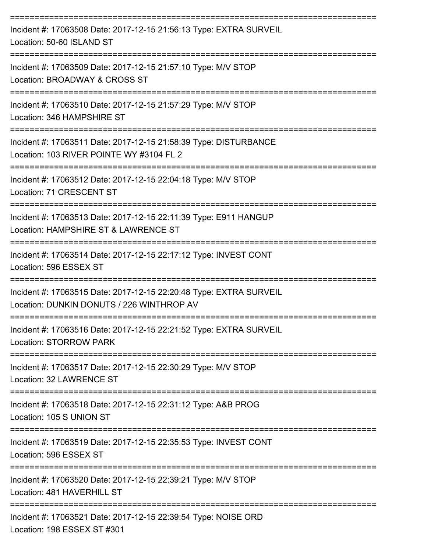| Incident #: 17063508 Date: 2017-12-15 21:56:13 Type: EXTRA SURVEIL<br>Location: 50-60 ISLAND ST                 |
|-----------------------------------------------------------------------------------------------------------------|
| Incident #: 17063509 Date: 2017-12-15 21:57:10 Type: M/V STOP<br>Location: BROADWAY & CROSS ST                  |
| Incident #: 17063510 Date: 2017-12-15 21:57:29 Type: M/V STOP<br>Location: 346 HAMPSHIRE ST                     |
| Incident #: 17063511 Date: 2017-12-15 21:58:39 Type: DISTURBANCE<br>Location: 103 RIVER POINTE WY #3104 FL 2    |
| Incident #: 17063512 Date: 2017-12-15 22:04:18 Type: M/V STOP<br>Location: 71 CRESCENT ST                       |
| Incident #: 17063513 Date: 2017-12-15 22:11:39 Type: E911 HANGUP<br>Location: HAMPSHIRE ST & LAWRENCE ST        |
| Incident #: 17063514 Date: 2017-12-15 22:17:12 Type: INVEST CONT<br>Location: 596 ESSEX ST                      |
| Incident #: 17063515 Date: 2017-12-15 22:20:48 Type: EXTRA SURVEIL<br>Location: DUNKIN DONUTS / 226 WINTHROP AV |
| Incident #: 17063516 Date: 2017-12-15 22:21:52 Type: EXTRA SURVEIL<br><b>Location: STORROW PARK</b>             |
| Incident #: 17063517 Date: 2017-12-15 22:30:29 Type: M/V STOP<br>Location: 32 LAWRENCE ST                       |
| Incident #: 17063518 Date: 2017-12-15 22:31:12 Type: A&B PROG<br>Location: 105 S UNION ST                       |
| Incident #: 17063519 Date: 2017-12-15 22:35:53 Type: INVEST CONT<br>Location: 596 ESSEX ST                      |
| Incident #: 17063520 Date: 2017-12-15 22:39:21 Type: M/V STOP<br>Location: 481 HAVERHILL ST                     |
| Incident #: 17063521 Date: 2017-12-15 22:39:54 Type: NOISE ORD<br>Location: 198 ESSEX ST #301                   |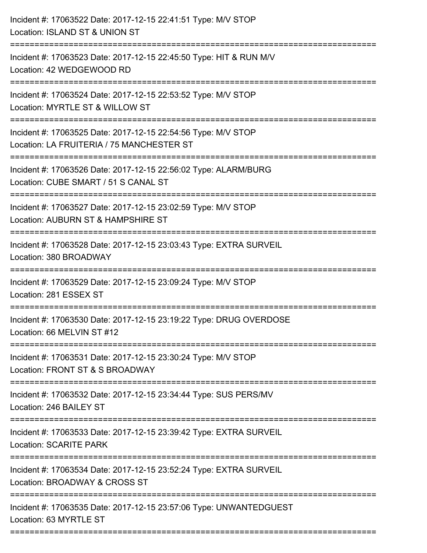| Incident #: 17063522 Date: 2017-12-15 22:41:51 Type: M/V STOP<br>Location: ISLAND ST & UNION ST                           |
|---------------------------------------------------------------------------------------------------------------------------|
| Incident #: 17063523 Date: 2017-12-15 22:45:50 Type: HIT & RUN M/V<br>Location: 42 WEDGEWOOD RD                           |
| Incident #: 17063524 Date: 2017-12-15 22:53:52 Type: M/V STOP<br>Location: MYRTLE ST & WILLOW ST                          |
| Incident #: 17063525 Date: 2017-12-15 22:54:56 Type: M/V STOP<br>Location: LA FRUITERIA / 75 MANCHESTER ST                |
| Incident #: 17063526 Date: 2017-12-15 22:56:02 Type: ALARM/BURG<br>Location: CUBE SMART / 51 S CANAL ST                   |
| Incident #: 17063527 Date: 2017-12-15 23:02:59 Type: M/V STOP<br>Location: AUBURN ST & HAMPSHIRE ST<br>------------------ |
| Incident #: 17063528 Date: 2017-12-15 23:03:43 Type: EXTRA SURVEIL<br>Location: 380 BROADWAY                              |
| Incident #: 17063529 Date: 2017-12-15 23:09:24 Type: M/V STOP<br>Location: 281 ESSEX ST                                   |
| Incident #: 17063530 Date: 2017-12-15 23:19:22 Type: DRUG OVERDOSE<br>Location: 66 MELVIN ST #12                          |
| Incident #: 17063531 Date: 2017-12-15 23:30:24 Type: M/V STOP<br>Location: FRONT ST & S BROADWAY                          |
| Incident #: 17063532 Date: 2017-12-15 23:34:44 Type: SUS PERS/MV<br>Location: 246 BAILEY ST                               |
| Incident #: 17063533 Date: 2017-12-15 23:39:42 Type: EXTRA SURVEIL<br><b>Location: SCARITE PARK</b>                       |
| Incident #: 17063534 Date: 2017-12-15 23:52:24 Type: EXTRA SURVEIL<br>Location: BROADWAY & CROSS ST                       |
| Incident #: 17063535 Date: 2017-12-15 23:57:06 Type: UNWANTEDGUEST<br>Location: 63 MYRTLE ST                              |